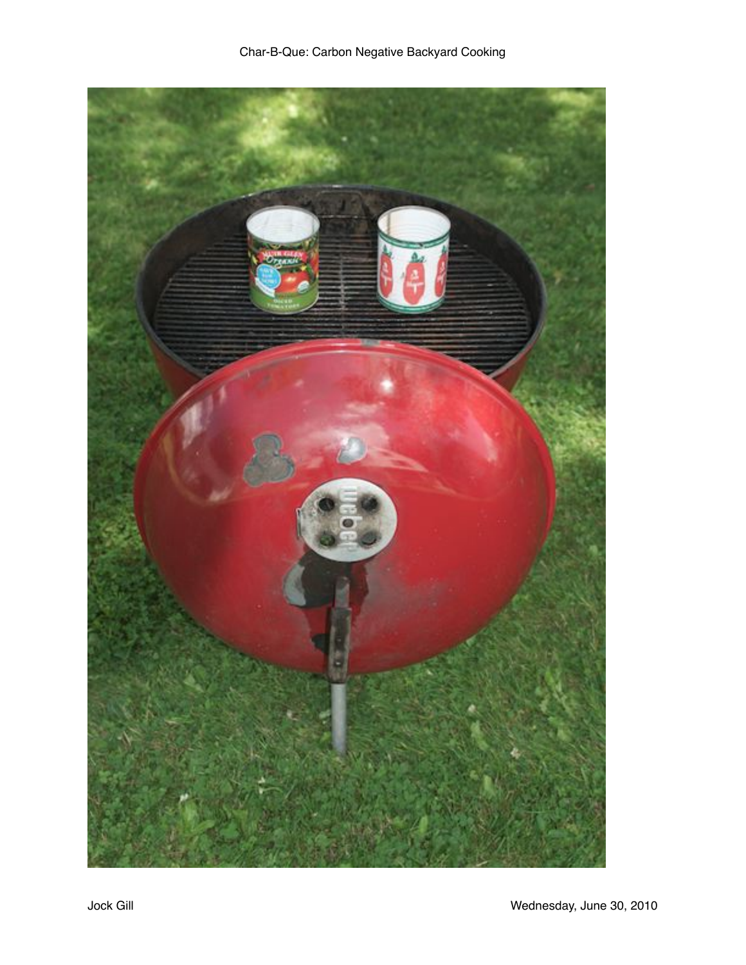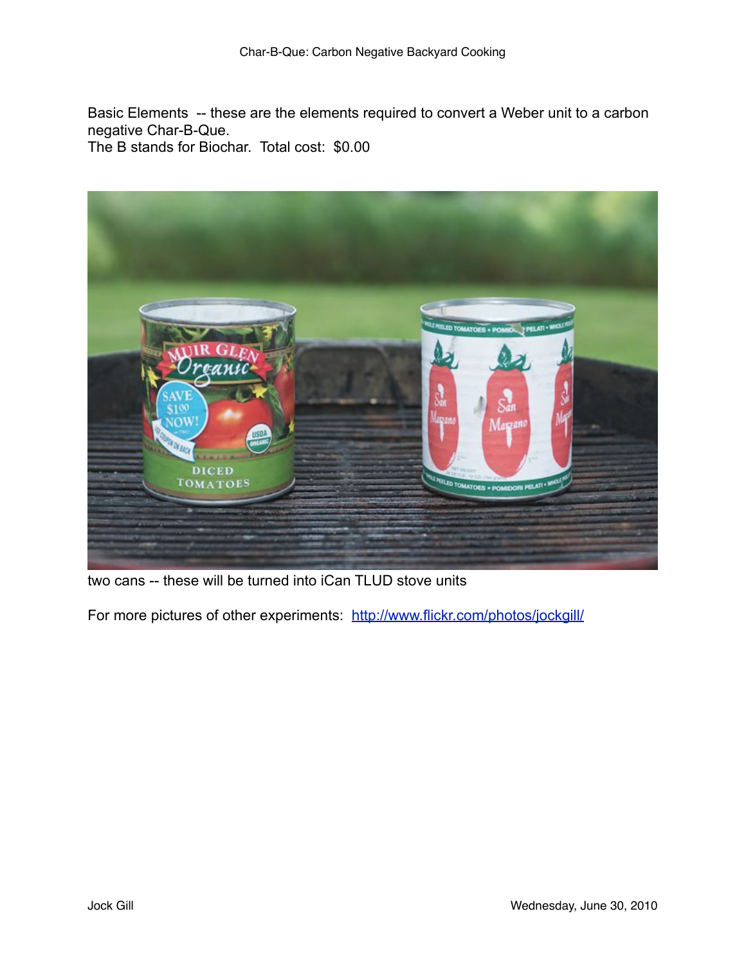Basic Elements -- these are the elements required to convert a Weber unit to a carbon negative Char-B-Que.

The B stands for Biochar. Total cost: \$0.00



two cans -- these will be turned into iCan TLUD stove units

For more pictures of other experiments: <http://www.flickr.com/photos/jockgill/>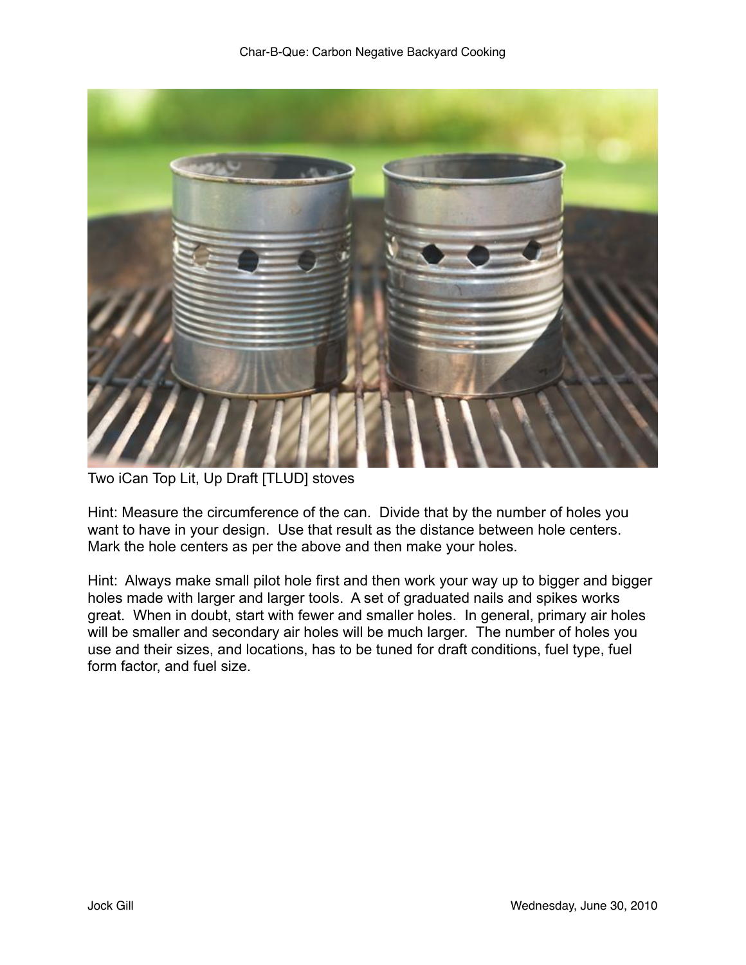

Two iCan Top Lit, Up Draft [TLUD] stoves

Hint: Measure the circumference of the can. Divide that by the number of holes you want to have in your design. Use that result as the distance between hole centers. Mark the hole centers as per the above and then make your holes.

Hint: Always make small pilot hole first and then work your way up to bigger and bigger holes made with larger and larger tools. A set of graduated nails and spikes works great. When in doubt, start with fewer and smaller holes. In general, primary air holes will be smaller and secondary air holes will be much larger. The number of holes you use and their sizes, and locations, has to be tuned for draft conditions, fuel type, fuel form factor, and fuel size.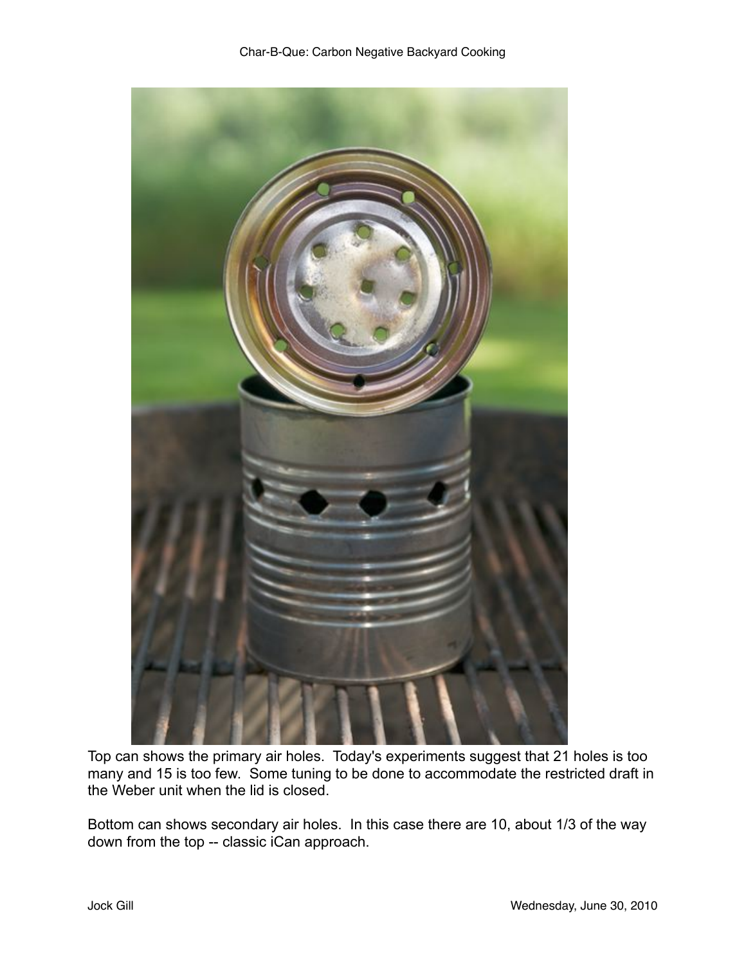

Top can shows the primary air holes. Today's experiments suggest that 21 holes is too many and 15 is too few. Some tuning to be done to accommodate the restricted draft in the Weber unit when the lid is closed.

Bottom can shows secondary air holes. In this case there are 10, about 1/3 of the way down from the top -- classic iCan approach.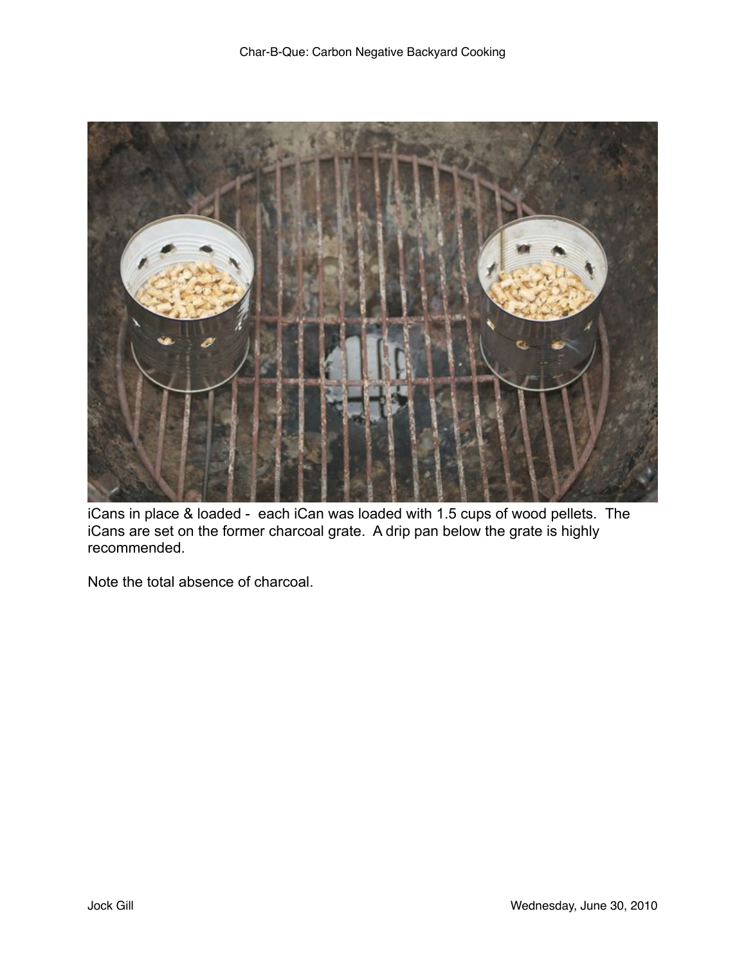

iCans in place & loaded - each iCan was loaded with 1.5 cups of wood pellets. The iCans are set on the former charcoal grate. A drip pan below the grate is highly recommended.

Note the total absence of charcoal.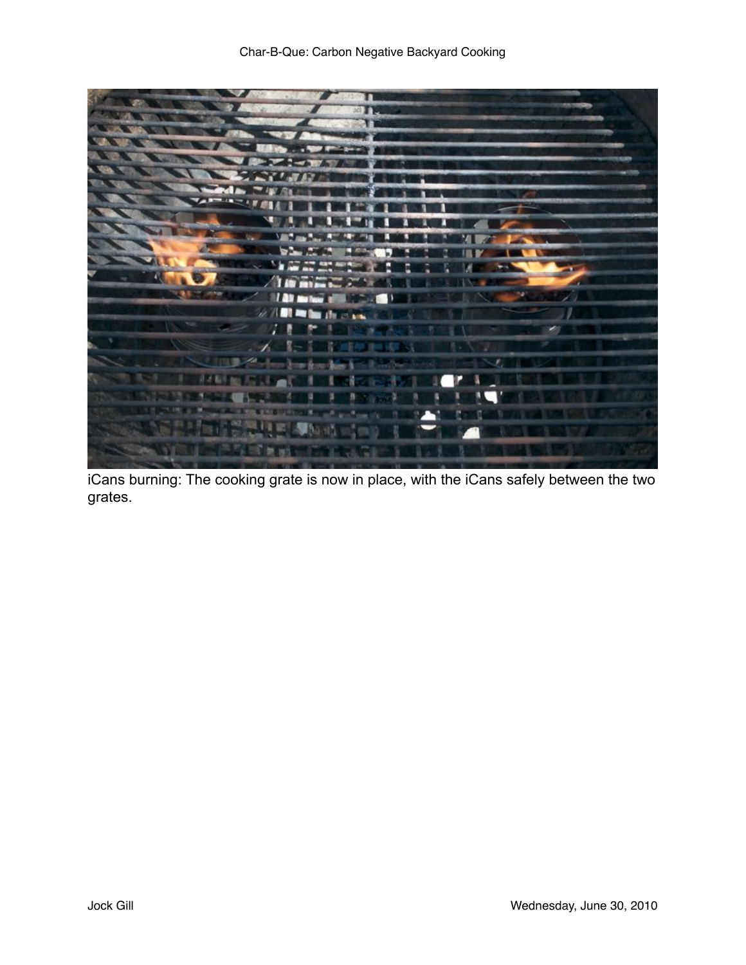

iCans burning: The cooking grate is now in place, with the iCans safely between the two grates.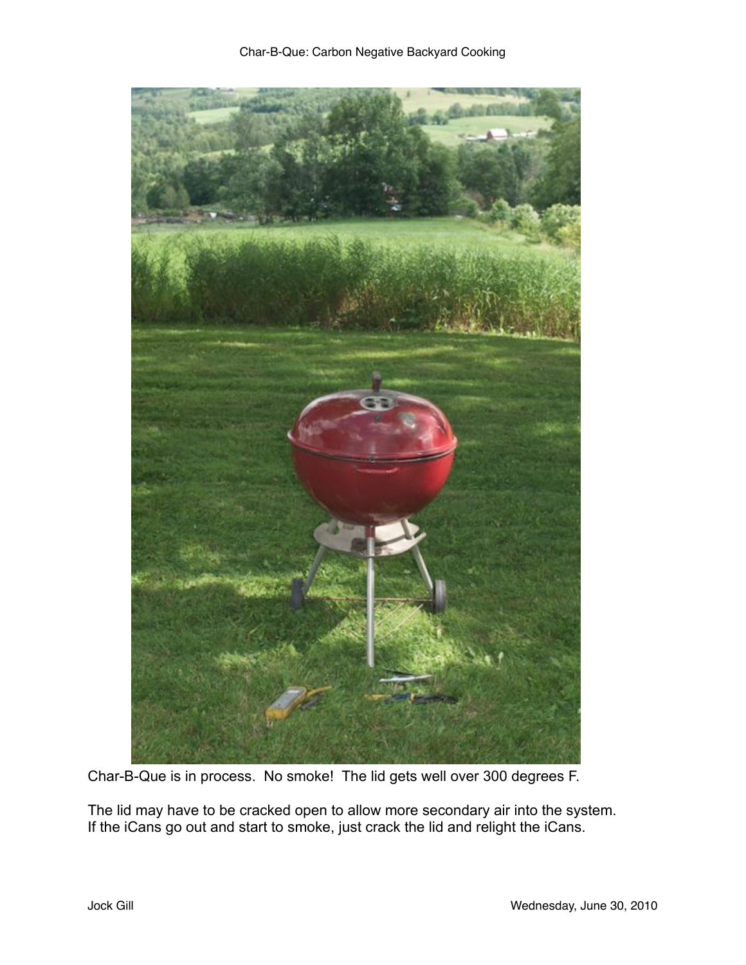

Char-B-Que is in process. No smoke! The lid gets well over 300 degrees F.

The lid may have to be cracked open to allow more secondary air into the system. If the iCans go out and start to smoke, just crack the lid and relight the iCans.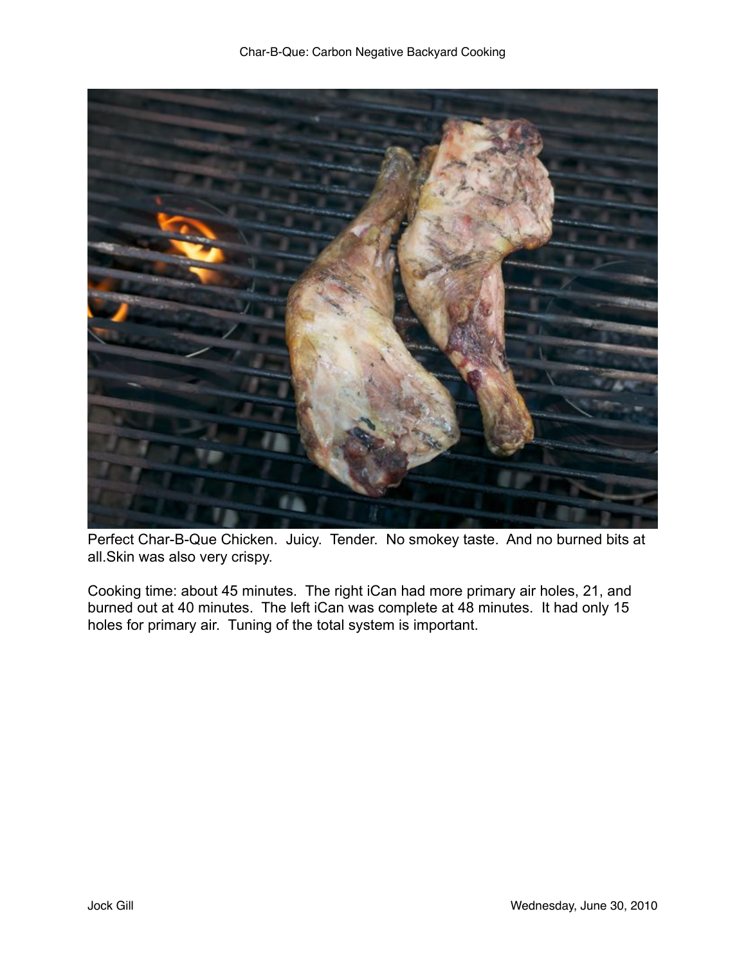

Perfect Char-B-Que Chicken. Juicy. Tender. No smokey taste. And no burned bits at all.Skin was also very crispy.

Cooking time: about 45 minutes. The right iCan had more primary air holes, 21, and burned out at 40 minutes. The left iCan was complete at 48 minutes. It had only 15 holes for primary air. Tuning of the total system is important.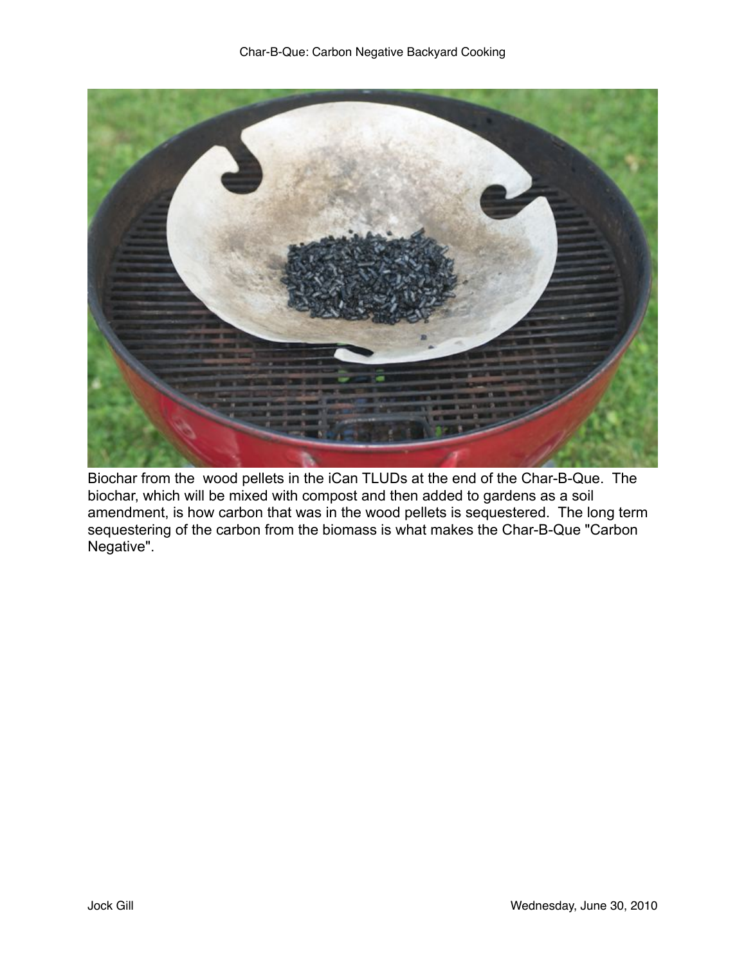

Biochar from the wood pellets in the iCan TLUDs at the end of the Char-B-Que. The biochar, which will be mixed with compost and then added to gardens as a soil amendment, is how carbon that was in the wood pellets is sequestered. The long term sequestering of the carbon from the biomass is what makes the Char-B-Que "Carbon Negative".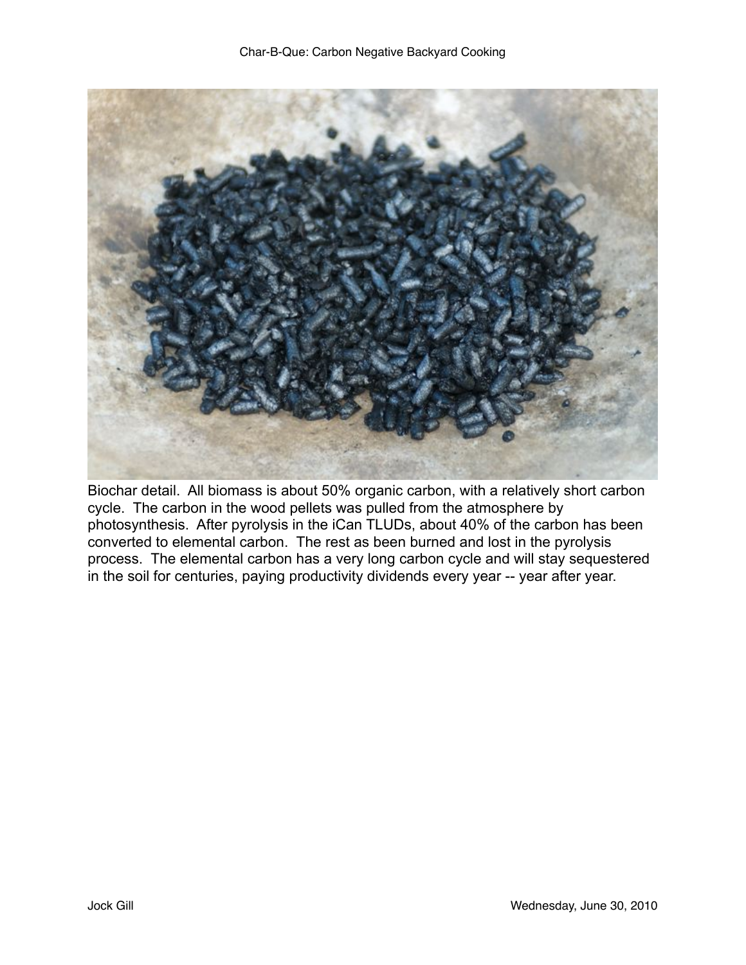

Biochar detail. All biomass is about 50% organic carbon, with a relatively short carbon cycle. The carbon in the wood pellets was pulled from the atmosphere by photosynthesis. After pyrolysis in the iCan TLUDs, about 40% of the carbon has been converted to elemental carbon. The rest as been burned and lost in the pyrolysis process. The elemental carbon has a very long carbon cycle and will stay sequestered in the soil for centuries, paying productivity dividends every year -- year after year.